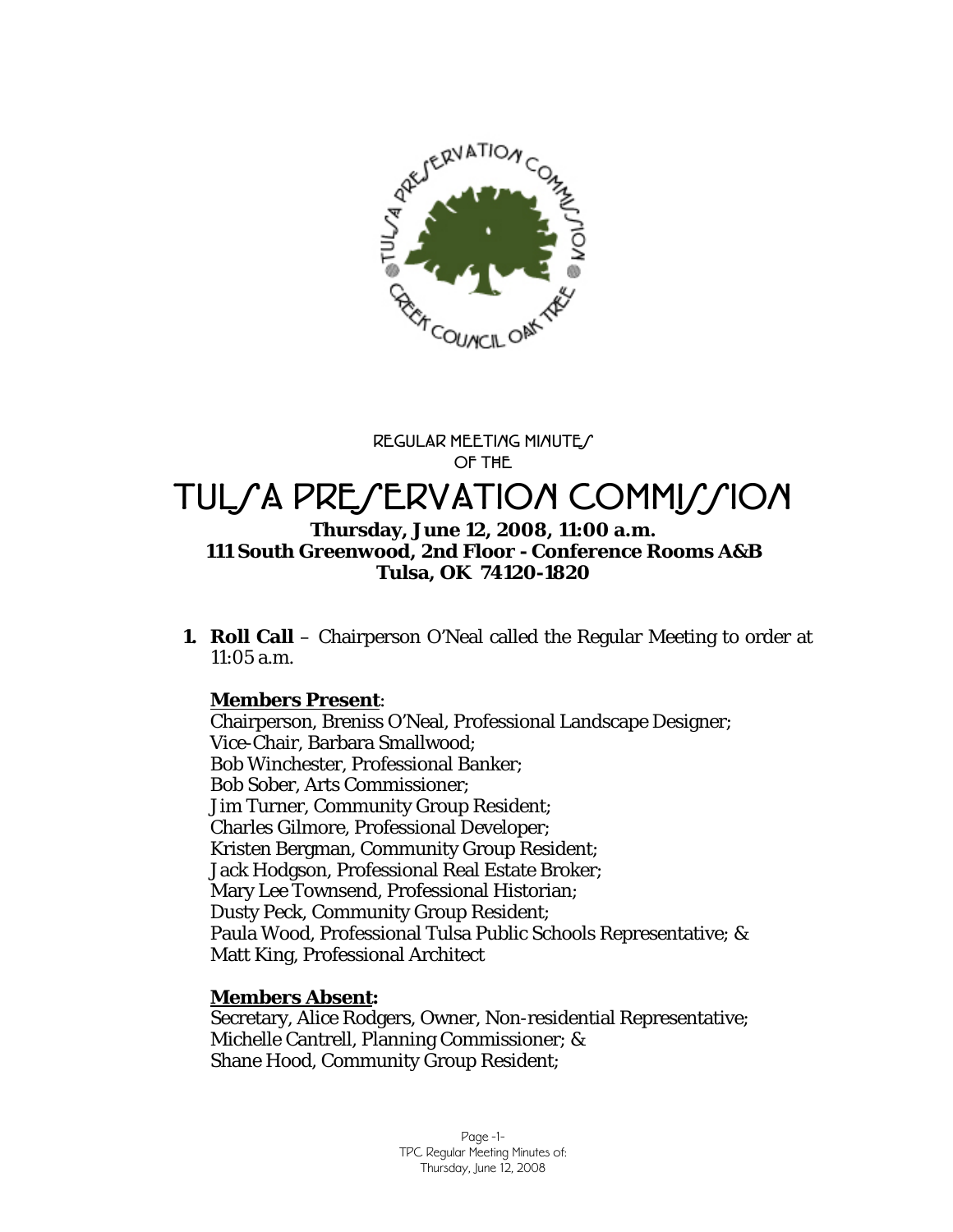

**REGULAR MEETING MINUTES OF THE** 

# TUL*SA PRESERVATION COMMISSION*

#### **Thursday, June 12, 2008, 11:00 a.m. 111 South Greenwood, 2nd Floor - Conference Rooms A&B Tulsa, OK 74120-1820**

**1. Roll Call** – Chairperson O'Neal called the Regular Meeting to order at 11:05 a.m.

## **Members Present**:

Chairperson, Breniss O'Neal, Professional Landscape Designer; Vice-Chair, Barbara Smallwood; Bob Winchester, Professional Banker; Bob Sober, Arts Commissioner; Jim Turner, Community Group Resident; Charles Gilmore, Professional Developer; Kristen Bergman, Community Group Resident; Jack Hodgson, Professional Real Estate Broker; Mary Lee Townsend, Professional Historian; Dusty Peck, Community Group Resident; Paula Wood, Professional Tulsa Public Schools Representative; & Matt King, Professional Architect

## **Members Absent:**

Secretary, Alice Rodgers, Owner, Non-residential Representative; Michelle Cantrell, Planning Commissioner; & Shane Hood, Community Group Resident;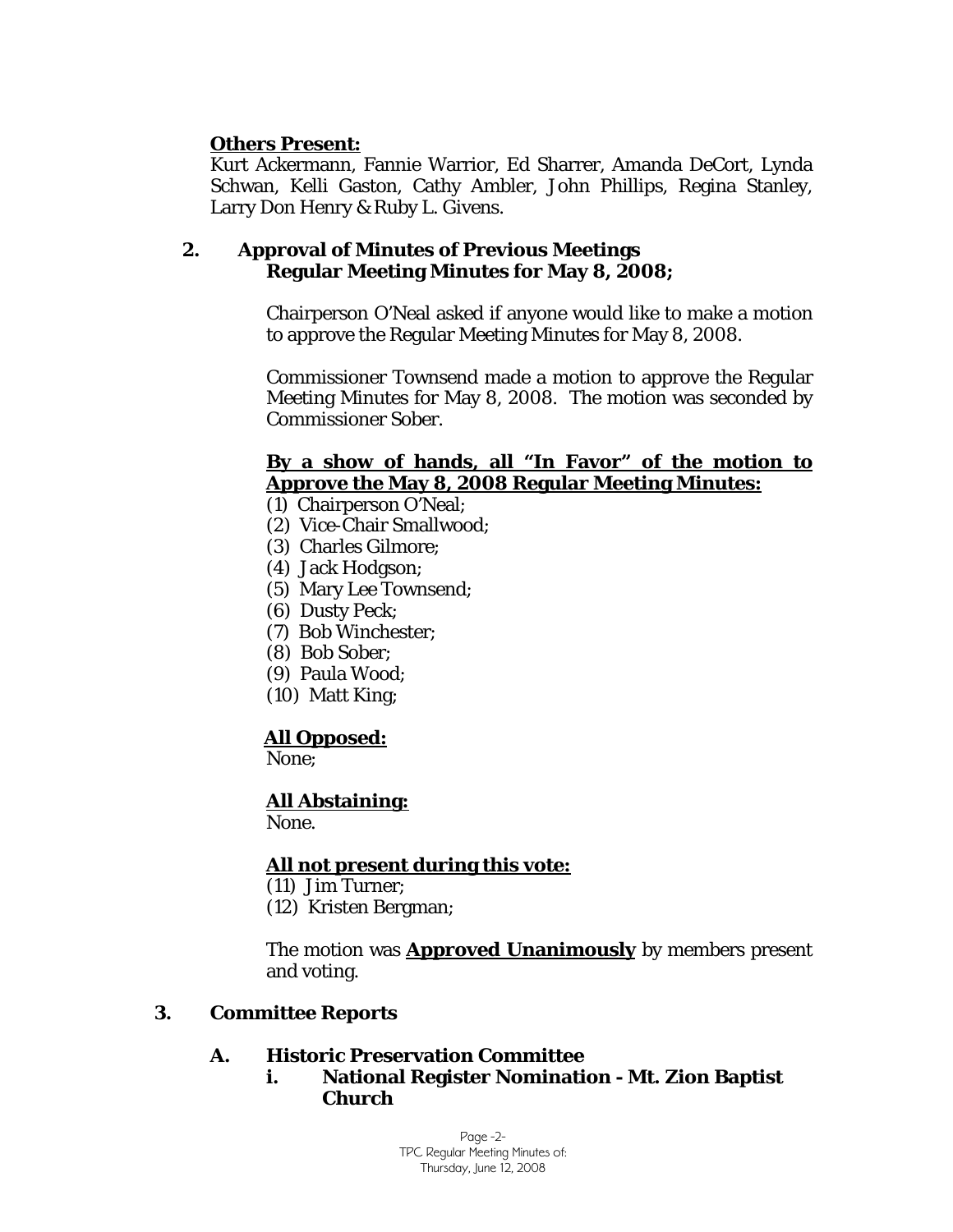#### **Others Present:**

Kurt Ackermann, Fannie Warrior, Ed Sharrer, Amanda DeCort, Lynda Schwan, Kelli Gaston, Cathy Ambler, John Phillips, Regina Stanley, Larry Don Henry & Ruby L. Givens.

#### **2. Approval of Minutes of Previous Meetings Regular Meeting Minutes for May 8, 2008;**

Chairperson O'Neal asked if anyone would like to make a motion to approve the Regular Meeting Minutes for May 8, 2008.

Commissioner Townsend made a motion to approve the Regular Meeting Minutes for May 8, 2008. The motion was seconded by Commissioner Sober.

#### **By a show of hands, all "In Favor" of the motion to Approve the May 8, 2008 Regular Meeting Minutes:**

(1) Chairperson O'Neal;

- (2) Vice-Chair Smallwood;
- (3) Charles Gilmore;
- (4) Jack Hodgson;
- (5) Mary Lee Townsend;
- (6) Dusty Peck;
- (7) Bob Winchester;
- (8) Bob Sober;
- (9) Paula Wood;
- (10) Matt King;

#### **All Opposed:**

None;

#### **All Abstaining:**

None.

#### **All not present during this vote:**

- (11) Jim Turner;
- (12) Kristen Bergman;

The motion was **Approved Unanimously** by members present and voting.

#### **3. Committee Reports**

#### **A. Historic Preservation Committee**

**i. National Register Nomination - Mt. Zion Baptist Church** 

> Page -2- TPC Regular Meeting Minutes of: Thursday, June 12, 2008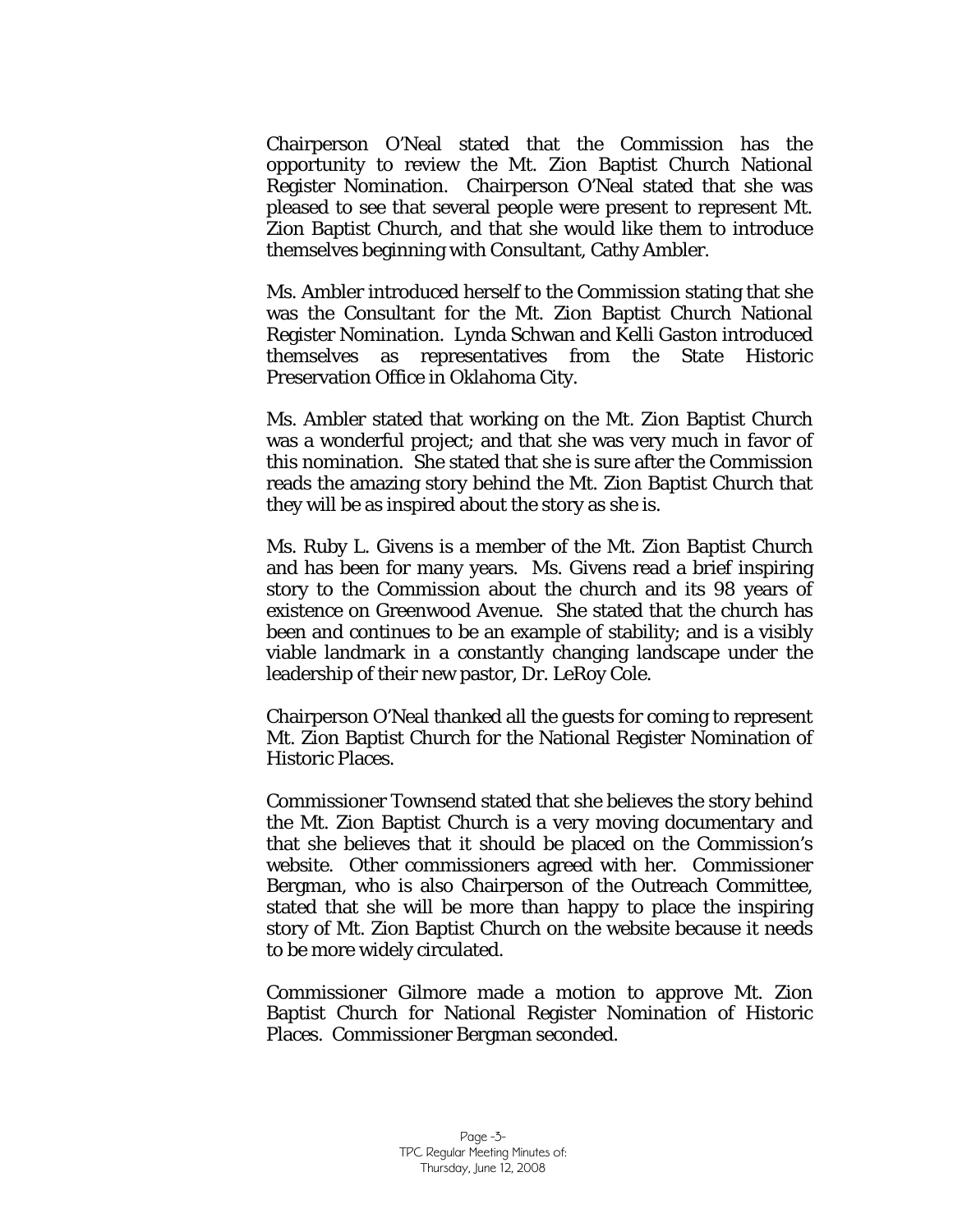Chairperson O'Neal stated that the Commission has the opportunity to review the Mt. Zion Baptist Church National Register Nomination. Chairperson O'Neal stated that she was pleased to see that several people were present to represent Mt. Zion Baptist Church, and that she would like them to introduce themselves beginning with Consultant, Cathy Ambler.

Ms. Ambler introduced herself to the Commission stating that she was the Consultant for the Mt. Zion Baptist Church National Register Nomination. Lynda Schwan and Kelli Gaston introduced themselves as representatives from the State Historic Preservation Office in Oklahoma City.

Ms. Ambler stated that working on the Mt. Zion Baptist Church was a wonderful project; and that she was very much in favor of this nomination. She stated that she is sure after the Commission reads the amazing story behind the Mt. Zion Baptist Church that they will be as inspired about the story as she is.

Ms. Ruby L. Givens is a member of the Mt. Zion Baptist Church and has been for many years. Ms. Givens read a brief inspiring story to the Commission about the church and its 98 years of existence on Greenwood Avenue. She stated that the church has been and continues to be an example of stability; and is a visibly viable landmark in a constantly changing landscape under the leadership of their new pastor, Dr. LeRoy Cole.

Chairperson O'Neal thanked all the guests for coming to represent Mt. Zion Baptist Church for the National Register Nomination of Historic Places.

Commissioner Townsend stated that she believes the story behind the Mt. Zion Baptist Church is a very moving documentary and that she believes that it should be placed on the Commission's website. Other commissioners agreed with her. Commissioner Bergman, who is also Chairperson of the Outreach Committee, stated that she will be more than happy to place the inspiring story of Mt. Zion Baptist Church on the website because it needs to be more widely circulated.

Commissioner Gilmore made a motion to approve Mt. Zion Baptist Church for National Register Nomination of Historic Places. Commissioner Bergman seconded.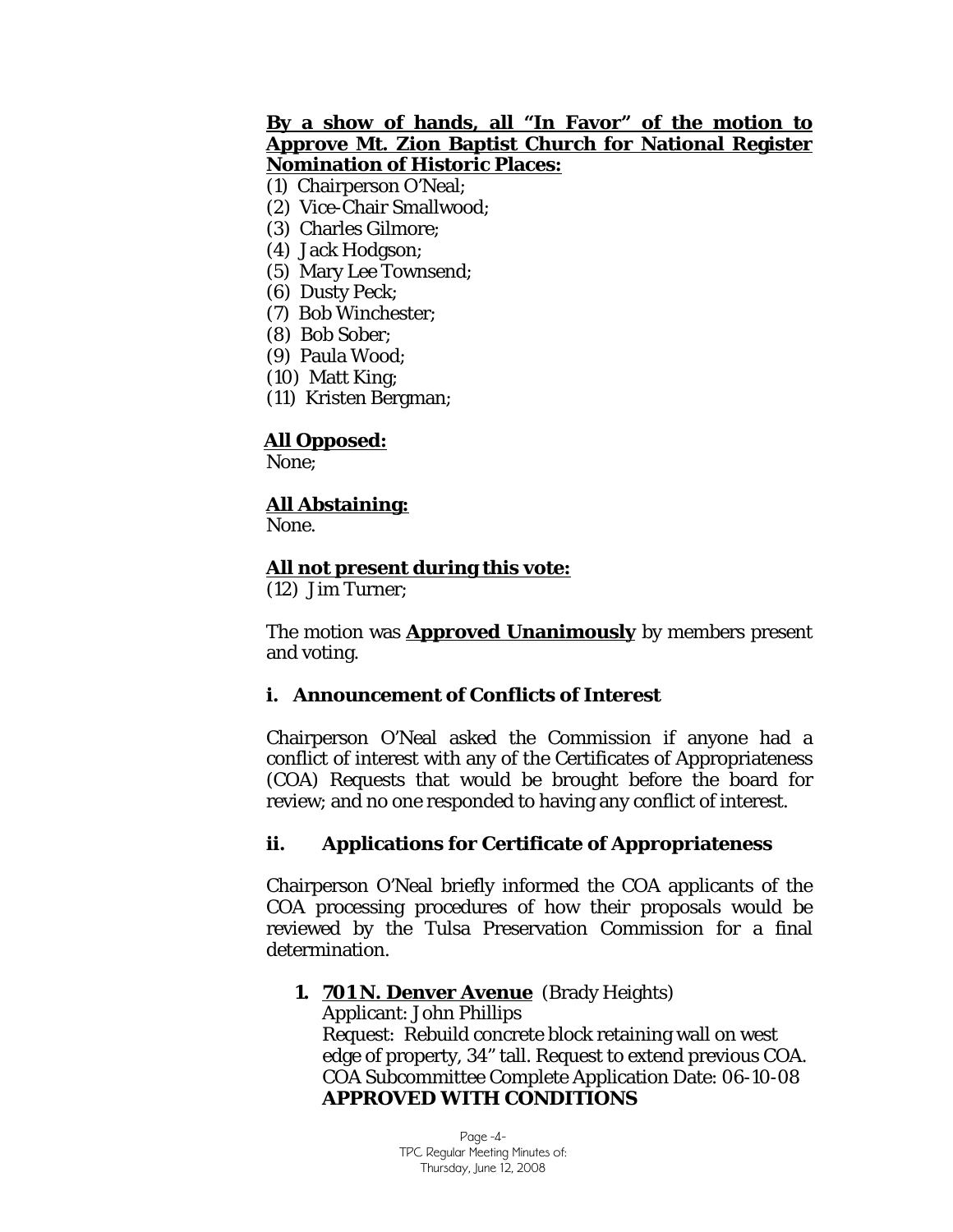#### **By a show of hands, all "In Favor" of the motion to Approve Mt. Zion Baptist Church for National Register Nomination of Historic Places:**

(1) Chairperson O'Neal;

- (2) Vice-Chair Smallwood;
- (3) Charles Gilmore;
- (4) Jack Hodgson;
- (5) Mary Lee Townsend;
- (6) Dusty Peck;
- (7) Bob Winchester;
- (8) Bob Sober;
- (9) Paula Wood;
- (10) Matt King;
- (11) Kristen Bergman;

## **All Opposed:**

None;

#### **All Abstaining:**

None.

#### **All not present during this vote:**

(12) Jim Turner;

The motion was **Approved Unanimously** by members present and voting.

#### **i. Announcement of Conflicts of Interest**

Chairperson O'Neal asked the Commission if anyone had a conflict of interest with any of the Certificates of Appropriateness (COA) Requests that would be brought before the board for review; and no one responded to having any conflict of interest.

#### **ii. Applications for Certificate of Appropriateness**

Chairperson O'Neal briefly informed the COA applicants of the COA processing procedures of how their proposals would be reviewed by the Tulsa Preservation Commission for a final determination.

#### **1. 701 N. Denver Avenue** (Brady Heights)

Applicant: John Phillips Request: Rebuild concrete block retaining wall on west edge of property, 34" tall. Request to extend previous COA. COA Subcommittee Complete Application Date: 06-10-08 **APPROVED WITH CONDITIONS** 

> Page -4- TPC Regular Meeting Minutes of: Thursday, June 12, 2008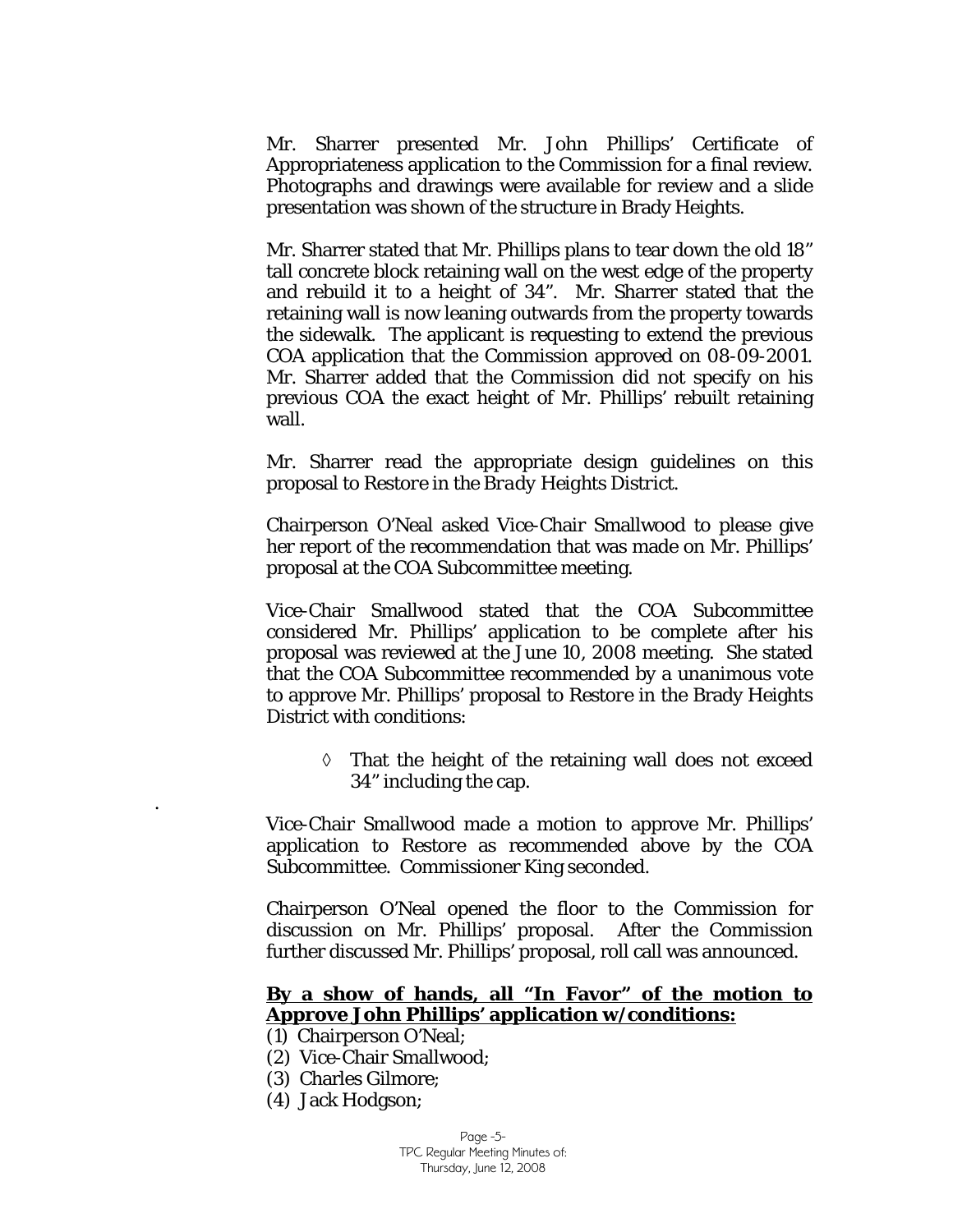Mr. Sharrer presented Mr. John Phillips' Certificate of Appropriateness application to the Commission for a final review. Photographs and drawings were available for review and a slide presentation was shown of the structure in Brady Heights.

Mr. Sharrer stated that Mr. Phillips plans to tear down the old 18" tall concrete block retaining wall on the west edge of the property and rebuild it to a height of 34". Mr. Sharrer stated that the retaining wall is now leaning outwards from the property towards the sidewalk. The applicant is requesting to extend the previous COA application that the Commission approved on 08-09-2001. Mr. Sharrer added that the Commission did not specify on his previous COA the exact height of Mr. Phillips' rebuilt retaining wall.

Mr. Sharrer read the appropriate design guidelines on this proposal to *Restore in the Brady Heights District.* 

Chairperson O'Neal asked Vice-Chair Smallwood to please give her report of the recommendation that was made on Mr. Phillips' proposal at the COA Subcommittee meeting.

Vice-Chair Smallwood stated that the COA Subcommittee considered Mr. Phillips' application to be complete after his proposal was reviewed at the June 10, 2008 meeting. She stated that the COA Subcommittee recommended by a unanimous vote to approve Mr. Phillips' proposal to *Restore* in the Brady Heights District with conditions:

> ◊ That the height of the retaining wall does not exceed 34" including the cap.

Vice-Chair Smallwood made a motion to approve Mr. Phillips' application to *Restore* as recommended above by the COA Subcommittee. Commissioner King seconded.

Chairperson O'Neal opened the floor to the Commission for discussion on Mr. Phillips' proposal. After the Commission further discussed Mr. Phillips' proposal, roll call was announced.

#### **By a show of hands, all "In Favor" of the motion to Approve John Phillips' application w/conditions:**

- (1) Chairperson O'Neal;
- (2) Vice-Chair Smallwood;
- (3) Charles Gilmore;
- (4) Jack Hodgson;

.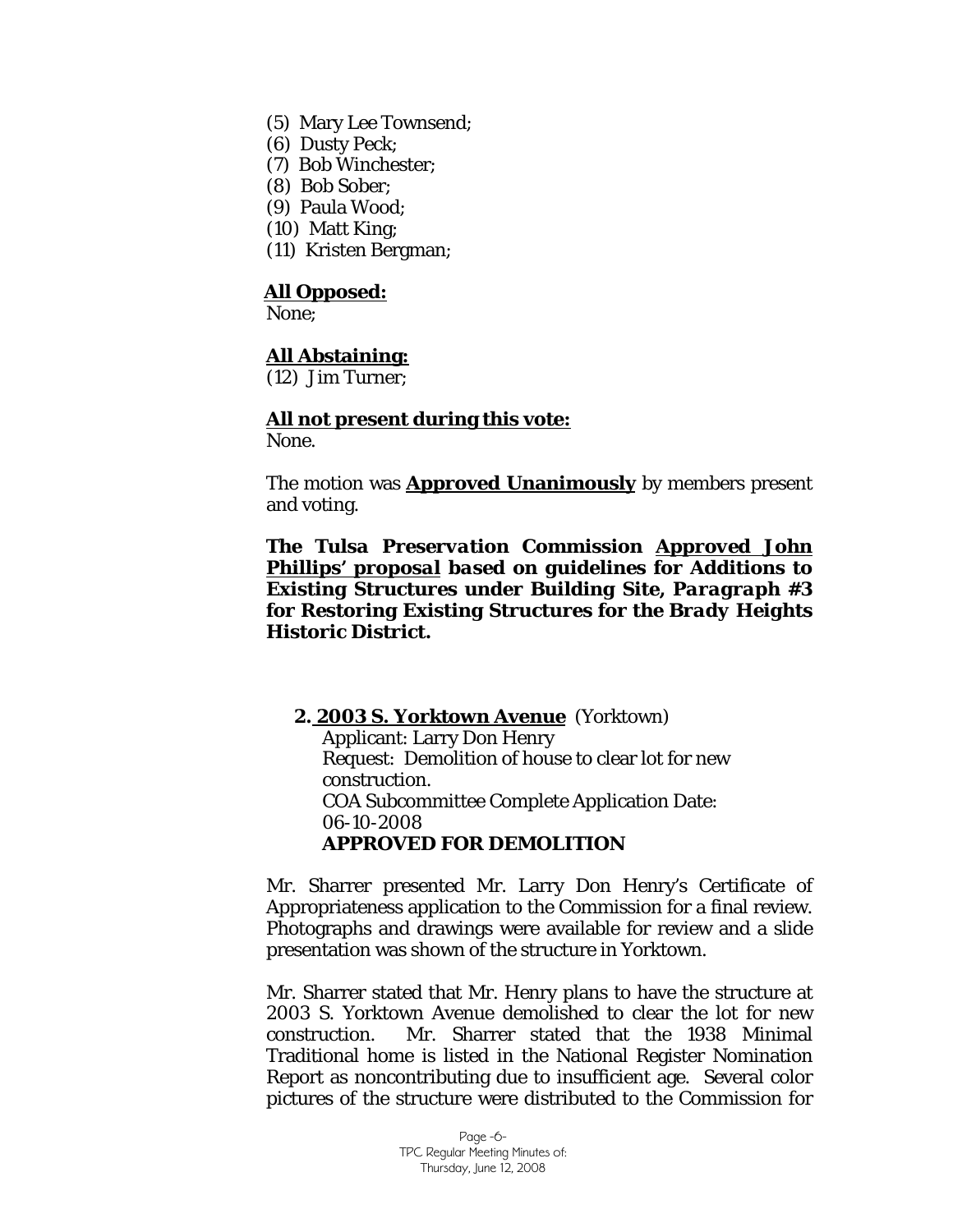- (5) Mary Lee Townsend;
- (6) Dusty Peck;
- (7) Bob Winchester;
- (8) Bob Sober;
- (9) Paula Wood;
- (10) Matt King;
- (11) Kristen Bergman;

#### **All Opposed:**

None;

#### **All Abstaining:**

(12) Jim Turner;

# **All not present during this vote:**

None.

The motion was **Approved Unanimously** by members present and voting.

*The Tulsa Preservation Commission Approved John Phillips' proposal based on guidelines for Additions to Existing Structures under Building Site, Paragraph #3 for Restoring Existing Structures for the Brady Heights Historic District.* 

**2. 2003 S. Yorktown Avenue** (Yorktown) Applicant: Larry Don Henry Request: Demolition of house to clear lot for new construction. COA Subcommittee Complete Application Date: 06-10-2008 **APPROVED FOR DEMOLITION** 

Mr. Sharrer presented Mr. Larry Don Henry's Certificate of Appropriateness application to the Commission for a final review. Photographs and drawings were available for review and a slide presentation was shown of the structure in Yorktown.

Mr. Sharrer stated that Mr. Henry plans to have the structure at 2003 S. Yorktown Avenue demolished to clear the lot for new construction. Mr. Sharrer stated that the 1938 Minimal Traditional home is listed in the National Register Nomination Report as noncontributing due to insufficient age. Several color pictures of the structure were distributed to the Commission for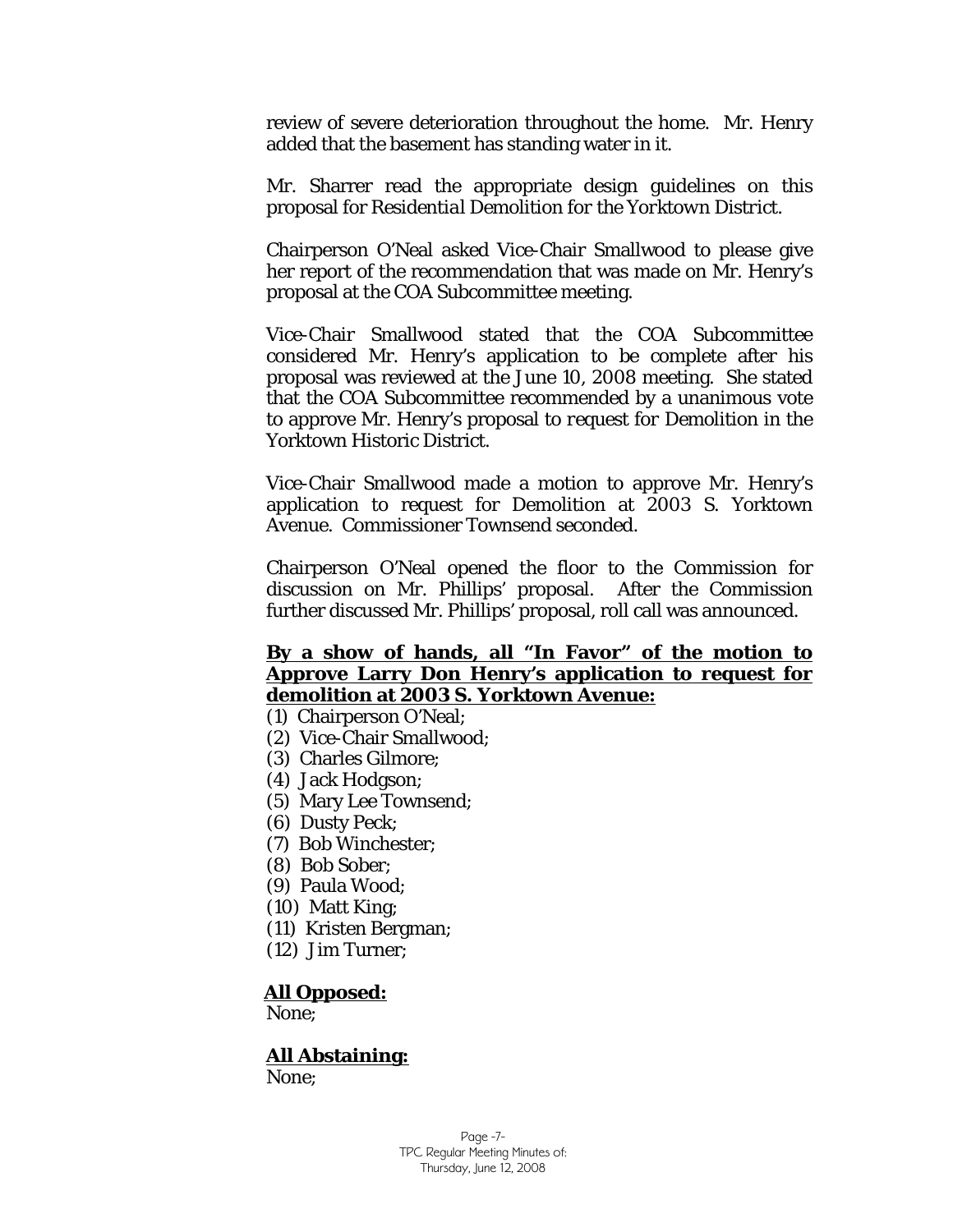review of severe deterioration throughout the home. Mr. Henry added that the basement has standing water in it.

Mr. Sharrer read the appropriate design guidelines on this proposal for *Residential Demolition for the Yorktown District.*

Chairperson O'Neal asked Vice-Chair Smallwood to please give her report of the recommendation that was made on Mr. Henry's proposal at the COA Subcommittee meeting.

Vice-Chair Smallwood stated that the COA Subcommittee considered Mr. Henry's application to be complete after his proposal was reviewed at the June 10, 2008 meeting. She stated that the COA Subcommittee recommended by a unanimous vote to approve Mr. Henry's proposal to *request for Demolition* in the Yorktown Historic District.

Vice-Chair Smallwood made a motion to approve Mr. Henry's application to request for Demolition at 2003 S. Yorktown Avenue. Commissioner Townsend seconded.

Chairperson O'Neal opened the floor to the Commission for discussion on Mr. Phillips' proposal. After the Commission further discussed Mr. Phillips' proposal, roll call was announced.

## **By a show of hands, all "In Favor" of the motion to Approve Larry Don Henry's application to request for demolition at 2003 S. Yorktown Avenue:**

- (1) Chairperson O'Neal;
- (2) Vice-Chair Smallwood;
- (3) Charles Gilmore;
- (4) Jack Hodgson;
- (5) Mary Lee Townsend;
- (6) Dusty Peck;
- (7) Bob Winchester;
- (8) Bob Sober;
- (9) Paula Wood;
- (10) Matt King;
- (11) Kristen Bergman;
- (12) Jim Turner;

#### **All Opposed:**

None;

# **All Abstaining:**

None;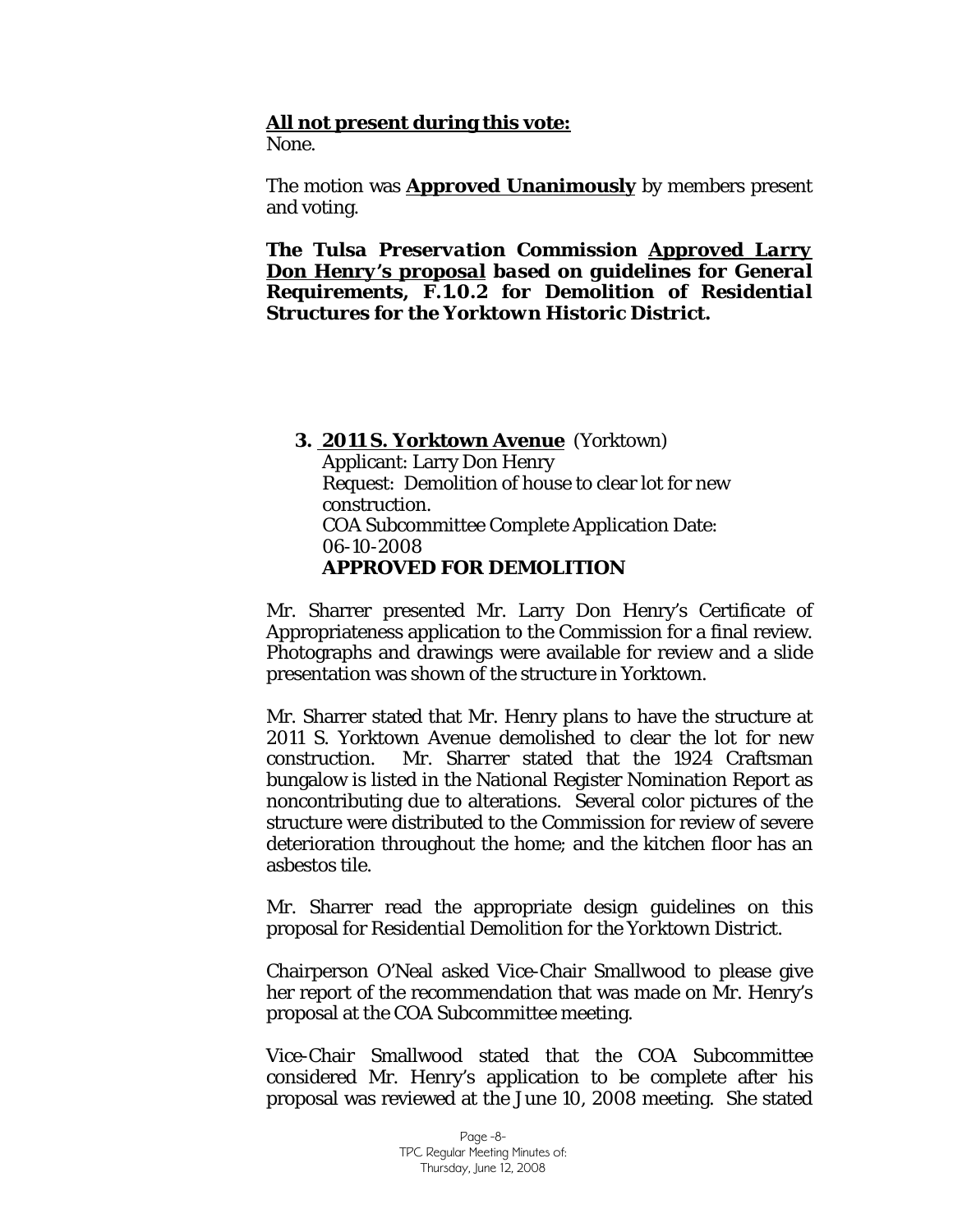#### **All not present during this vote:**

None.

The motion was **Approved Unanimously** by members present and voting.

*The Tulsa Preservation Commission Approved Larry Don Henry's proposal based on guidelines for General Requirements, F.1.0.2 for Demolition of Residential Structures for the Yorktown Historic District.* 

#### **3. 2011 S. Yorktown Avenue** (Yorktown)

Applicant: Larry Don Henry Request: Demolition of house to clear lot for new construction. COA Subcommittee Complete Application Date: 06-10-2008 **APPROVED FOR DEMOLITION** 

Mr. Sharrer presented Mr. Larry Don Henry's Certificate of Appropriateness application to the Commission for a final review. Photographs and drawings were available for review and a slide presentation was shown of the structure in Yorktown.

Mr. Sharrer stated that Mr. Henry plans to have the structure at 2011 S. Yorktown Avenue demolished to clear the lot for new construction. Mr. Sharrer stated that the 1924 Craftsman bungalow is listed in the National Register Nomination Report as noncontributing due to alterations. Several color pictures of the structure were distributed to the Commission for review of severe deterioration throughout the home; and the kitchen floor has an asbestos tile.

Mr. Sharrer read the appropriate design guidelines on this proposal for *Residential Demolition for the Yorktown District.*

Chairperson O'Neal asked Vice-Chair Smallwood to please give her report of the recommendation that was made on Mr. Henry's proposal at the COA Subcommittee meeting.

Vice-Chair Smallwood stated that the COA Subcommittee considered Mr. Henry's application to be complete after his proposal was reviewed at the June 10, 2008 meeting. She stated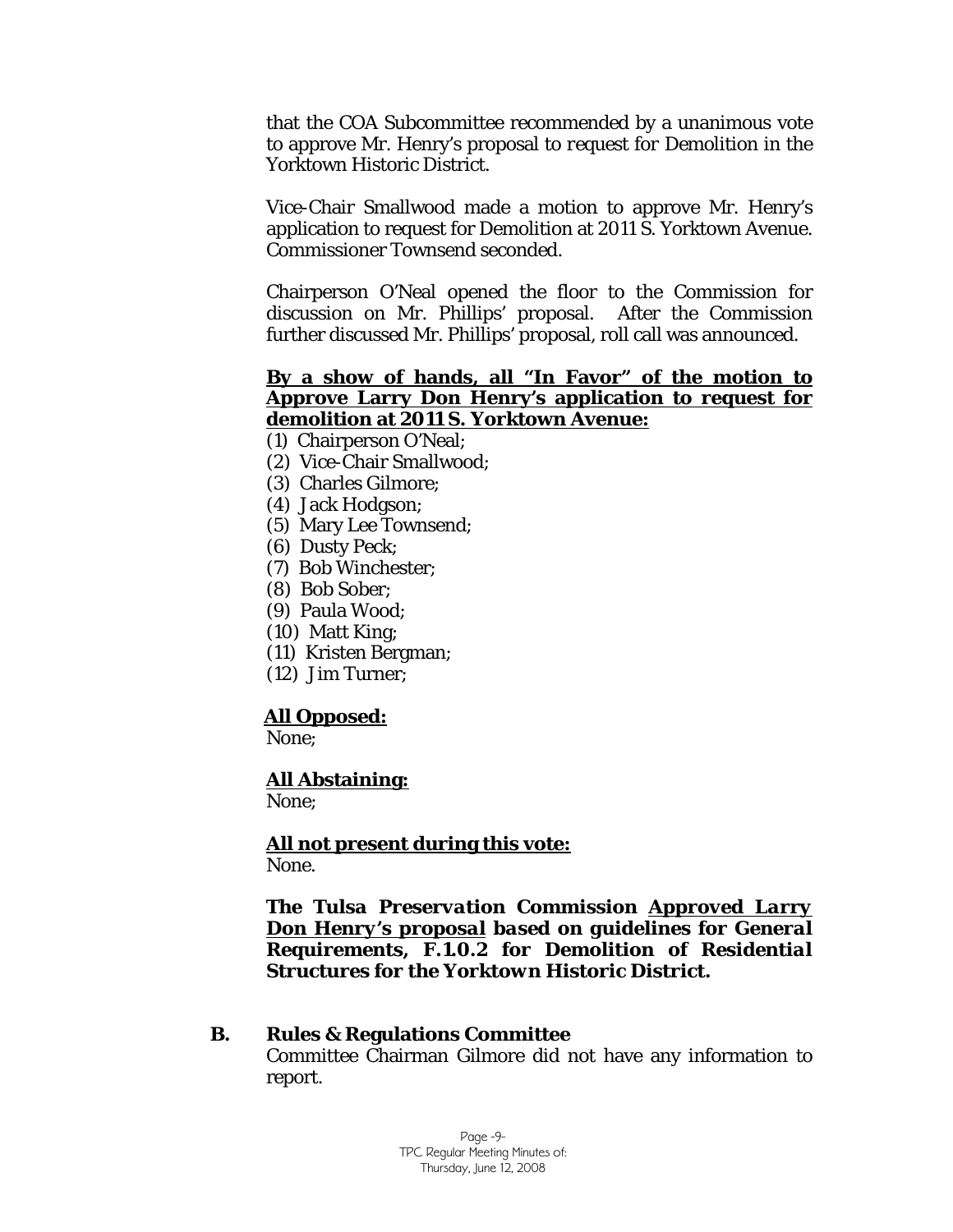that the COA Subcommittee recommended by a unanimous vote to approve Mr. Henry's proposal to *request for Demolition* in the Yorktown Historic District.

Vice-Chair Smallwood made a motion to approve Mr. Henry's application to request for Demolition at 2011 S. Yorktown Avenue. Commissioner Townsend seconded.

Chairperson O'Neal opened the floor to the Commission for discussion on Mr. Phillips' proposal. After the Commission further discussed Mr. Phillips' proposal, roll call was announced.

#### **By a show of hands, all "In Favor" of the motion to Approve Larry Don Henry's application to request for demolition at 2011 S. Yorktown Avenue:**

- (1) Chairperson O'Neal;
- (2) Vice-Chair Smallwood;
- (3) Charles Gilmore;
- (4) Jack Hodgson;
- (5) Mary Lee Townsend;
- (6) Dusty Peck;
- (7) Bob Winchester;
- (8) Bob Sober;
- (9) Paula Wood;
- (10) Matt King;
- (11) Kristen Bergman;
- (12) Jim Turner;

#### **All Opposed:**

None;

#### **All Abstaining:**

None;

**All not present during this vote:** None.

#### *The Tulsa Preservation Commission Approved Larry Don Henry's proposal based on guidelines for General Requirements, F.1.0.2 for Demolition of Residential Structures for the Yorktown Historic District.*

#### **B. Rules & Regulations Committee**

Committee Chairman Gilmore did not have any information to report.